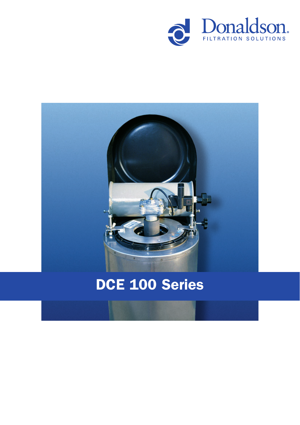



# DCE 100 Series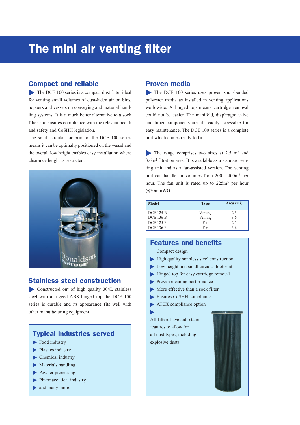# The mini air venting filter

### Compact and reliable

The DCE 100 series is a compact dust filter ideal for venting small volumes of dust-laden air on bins, hoppers and vessels on conveying and material handling systems. It is a much better alternative to a sock filter and ensures compliance with the relevant health and safety and CoSHH legislation.

The small circular footprint of the DCE 100 series means it can be optimally positioned on the vessel and the overall low height enables easy installation where clearance height is restricted.



### Stainless steel construction

Constructed out of high quality 304L stainless steel with a rugged ABS hinged top the DCE 100 series is durable and its appearance fits well with other manufacturing equipment.

### Typical industries served

- Food industry
- Plastics industry
- $\blacktriangleright$  Chemical industry
- $\blacktriangleright$  Materials handling
- Powder processing
- **Pharmaceutical industry**
- and many more...

### Proven media

The DCE 100 series uses proven spun-bonded polyester media as installed in venting applications worldwide. A hinged top means cartridge removal could not be easier. The manifold, diaphragm valve and timer components are all readily accessible for easy maintenance. The DCE 100 series is a complete unit which comes ready to fit.

The range comprises two sizes at 2.5 m<sup>2</sup> and 3.6m2 fitration area. It is available as a standard venting unit and as a fan-assisted version. The venting unit can handle air volumes from 200 - 400m3 per hour. The fan unit is rated up to 225m<sup>3</sup> per hour @50mmWG.

| Model            | <b>Type</b> | Area $(m2)$ |
|------------------|-------------|-------------|
| <b>DCE 125 B</b> | Venting     | 2.5         |
| <b>DCE 136 B</b> | Venting     | 3.6         |
| <b>DCE 125 F</b> | Fan         | 2.5         |
| <b>DCE 136 F</b> | Fan         | 3.6         |

### Features and benefits

Compact design

- $\blacktriangleright$  High quality stainless steel construction
- Low height and small circular footprint
- $\blacktriangleright$  Hinged top for easy cartridge removal
- **Proven cleaning performance**
- More effective than a sock filter
- Ensures CoSHH compliance
- **ATEX** compliance option

All filters have anti-static features to allow for all dust types, including explosive dusts.

ь

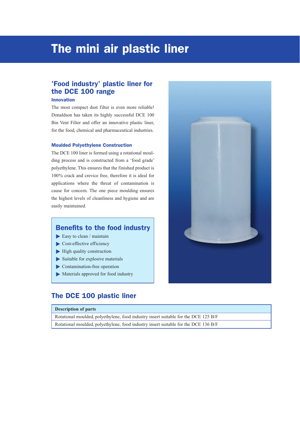# The mini air plastic liner

# 'Food industry' plastic liner for the DCE 100 range

#### Innovation

The most compact dust filter is even more reliable! Donaldson has taken its highly successful DCE 100 Bin Vent Filter and offer an innovative plastic liner, for the food, chemical and pharmaceutical industries.

#### Moulded Polyethylene Construction

The DCE 100 liner is formed using a rotational moulding process and is constructed from a 'food grade' polyethylene. This ensures that the finished product is 100% crack and crevice free, therefore it is ideal for applications where the threat of contamination is cause for concern. The one piece moulding ensures the highest levels of cleanliness and hygiene and are easily maintained.

# Benefits to the food industry

- $\blacktriangleright$  Easy to clean / maintain
- Cost-effective efficiency
- $\blacktriangleright$  High quality construction
- $\blacktriangleright$  Suitable for explosive materials
- Contamination-free operation
- Materials approved for food industry

### The DCE 100 plastic liner

**Description of parts** Rotational moulded, polyethylene, food industry insert suitable for the DCE 125 B/F Rotational moulded, polyethylene, food industry insert suitable for the DCE 136 B/F